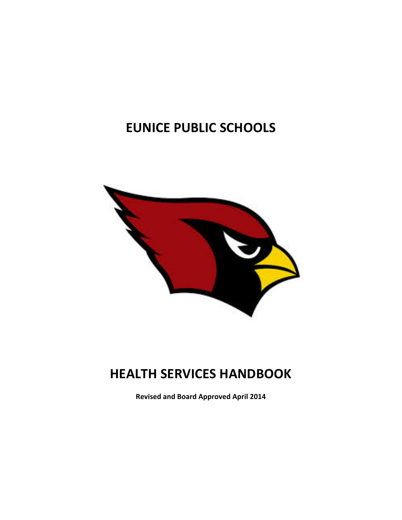# **EUNICE PUBLIC SCHOOLS**



# **HEALTH SERVICES HANDBOOK**

**Revised and Board Approved April 2014**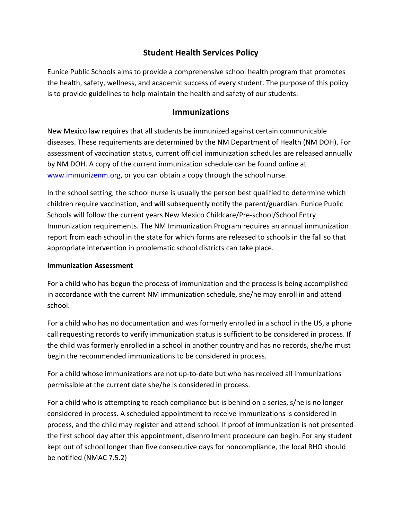## **Student Health Services Policy**

Eunice Public Schools aims to provide a comprehensive school health program that promotes the health, safety, wellness, and academic success of every student. The purpose of this policy is to provide guidelines to help maintain the health and safety of our students.

## **Immunizations**

New Mexico law requires that all students be immunized against certain communicable diseases. These requirements are determined by the NM Department of Health (NM DOH). For assessment of vaccination status, current official immunization schedules are released annually by NM DOH. A copy of the current immunization schedule can be found online at www.immunizenm.org, or you can obtain a copy through the school nurse.

In the school setting, the school nurse is usually the person best qualified to determine which children require vaccination, and will subsequently notify the parent/guardian. Eunice Public Schools will follow the current years New Mexico Childcare/Pre-school/School Entry Immunization requirements. The NM Immunization Program requires an annual immunization report from each school in the state for which forms are released to schools in the fall so that appropriate intervention in problematic school districts can take place.

#### **Immunization Assessment**

For a child who has begun the process of immunization and the process is being accomplished in accordance with the current NM immunization schedule, she/he may enroll in and attend school. 

For a child who has no documentation and was formerly enrolled in a school in the US, a phone call requesting records to verify immunization status is sufficient to be considered in process. If the child was formerly enrolled in a school in another country and has no records, she/he must begin the recommended immunizations to be considered in process.

For a child whose immunizations are not up-to-date but who has received all immunizations permissible at the current date she/he is considered in process.

For a child who is attempting to reach compliance but is behind on a series, s/he is no longer considered in process. A scheduled appointment to receive immunizations is considered in process, and the child may register and attend school. If proof of immunization is not presented the first school day after this appointment, disenrollment procedure can begin. For any student kept out of school longer than five consecutive days for noncompliance, the local RHO should be notified (NMAC 7.5.2)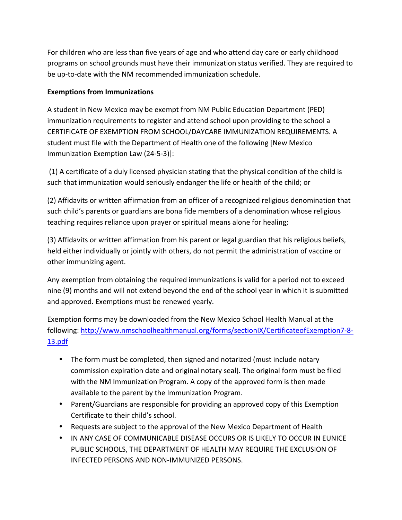For children who are less than five years of age and who attend day care or early childhood programs on school grounds must have their immunization status verified. They are required to be up-to-date with the NM recommended immunization schedule.

## Exemptions from Immunizations

A student in New Mexico may be exempt from NM Public Education Department (PED) immunization requirements to register and attend school upon providing to the school a CERTIFICATE OF EXEMPTION FROM SCHOOL/DAYCARE IMMUNIZATION REQUIREMENTS. A student must file with the Department of Health one of the following [New Mexico] Immunization Exemption Law (24-5-3)]:

(1) A certificate of a duly licensed physician stating that the physical condition of the child is such that immunization would seriously endanger the life or health of the child; or

(2) Affidavits or written affirmation from an officer of a recognized religious denomination that such child's parents or guardians are bona fide members of a denomination whose religious teaching requires reliance upon prayer or spiritual means alone for healing;

(3) Affidavits or written affirmation from his parent or legal guardian that his religious beliefs, held either individually or jointly with others, do not permit the administration of vaccine or other immunizing agent.

Any exemption from obtaining the required immunizations is valid for a period not to exceed nine (9) months and will not extend beyond the end of the school year in which it is submitted and approved. Exemptions must be renewed yearly.

Exemption forms may be downloaded from the New Mexico School Health Manual at the following: http://www.nmschoolhealthmanual.org/forms/sectionIX/CertificateofExemption7-8-13.pdf

- The form must be completed, then signed and notarized (must include notary commission expiration date and original notary seal). The original form must be filed with the NM Immunization Program. A copy of the approved form is then made available to the parent by the Immunization Program.
- Parent/Guardians are responsible for providing an approved copy of this Exemption Certificate to their child's school.
- Requests are subject to the approval of the New Mexico Department of Health
- IN ANY CASE OF COMMUNICABLE DISEASE OCCURS OR IS LIKELY TO OCCUR IN EUNICE PUBLIC SCHOOLS, THE DEPARTMENT OF HEALTH MAY REQUIRE THE EXCLUSION OF INFECTED PERSONS AND NON-IMMUNIZED PERSONS.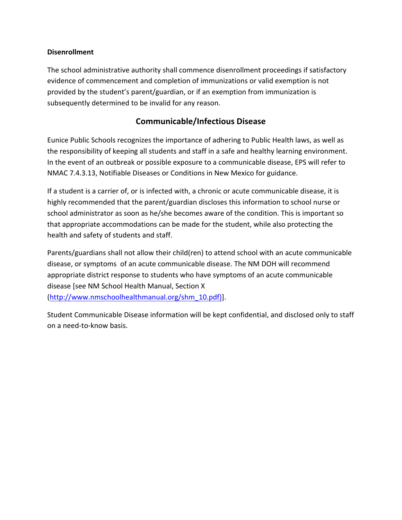#### **Disenrollment**

The school administrative authority shall commence disenrollment proceedings if satisfactory evidence of commencement and completion of immunizations or valid exemption is not provided by the student's parent/guardian, or if an exemption from immunization is subsequently determined to be invalid for any reason.

## **Communicable/Infectious Disease**

Eunice Public Schools recognizes the importance of adhering to Public Health laws, as well as the responsibility of keeping all students and staff in a safe and healthy learning environment. In the event of an outbreak or possible exposure to a communicable disease, EPS will refer to NMAC 7.4.3.13, Notifiable Diseases or Conditions in New Mexico for guidance.

If a student is a carrier of, or is infected with, a chronic or acute communicable disease, it is highly recommended that the parent/guardian discloses this information to school nurse or school administrator as soon as he/she becomes aware of the condition. This is important so that appropriate accommodations can be made for the student, while also protecting the health and safety of students and staff.

Parents/guardians shall not allow their child(ren) to attend school with an acute communicable disease, or symptoms of an acute communicable disease. The NM DOH will recommend appropriate district response to students who have symptoms of an acute communicable disease [see NM School Health Manual, Section X (http://www.nmschoolhealthmanual.org/shm\_10.pdf)].

Student Communicable Disease information will be kept confidential, and disclosed only to staff on a need-to-know basis.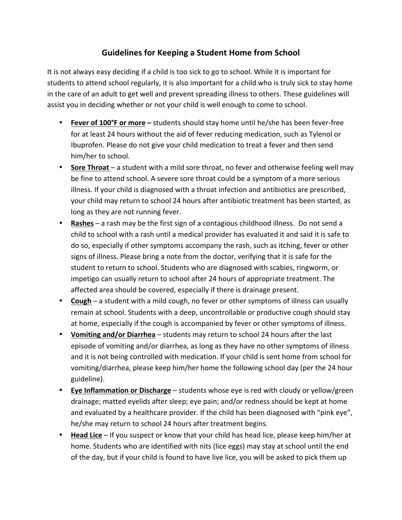## **Guidelines for Keeping a Student Home from School**

It is not always easy deciding if a child is too sick to go to school. While it is important for students to attend school regularly, it is also important for a child who is truly sick to stay home in the care of an adult to get well and prevent spreading illness to others. These guidelines will assist you in deciding whether or not your child is well enough to come to school.

- **Fever of 100°F or more** students should stay home until he/she has been fever-free for at least 24 hours without the aid of fever reducing medication, such as Tylenol or Ibuprofen. Please do not give your child medication to treat a fever and then send him/her to school.
- **Sore Throat** a student with a mild sore throat, no fever and otherwise feeling well may be fine to attend school. A severe sore throat could be a symptom of a more serious illness. If your child is diagnosed with a throat infection and antibiotics are prescribed, your child may return to school 24 hours after antibiotic treatment has been started, as long as they are not running fever.
- **Rashes** a rash may be the first sign of a contagious childhood illness. Do not send a child to school with a rash until a medical provider has evaluated it and said it is safe to do so, especially if other symptoms accompany the rash, such as itching, fever or other signs of illness. Please bring a note from the doctor, verifying that it is safe for the student to return to school. Students who are diagnosed with scabies, ringworm, or impetigo can usually return to school after 24 hours of appropriate treatment. The affected area should be covered, especially if there is drainage present.
- **Cough** a student with a mild cough, no fever or other symptoms of illness can usually remain at school. Students with a deep, uncontrollable or productive cough should stay at home, especially if the cough is accompanied by fever or other symptoms of illness.
- **Vomiting and/or Diarrhea** students may return to school 24 hours after the last episode of vomiting and/or diarrhea, as long as they have no other symptoms of illness and it is not being controlled with medication. If your child is sent home from school for vomiting/diarrhea, please keep him/her home the following school day (per the 24 hour guideline).
- **Eye Inflammation or Discharge** students whose eye is red with cloudy or yellow/green drainage; matted eyelids after sleep; eye pain; and/or redness should be kept at home and evaluated by a healthcare provider. If the child has been diagnosed with "pink eye", he/she may return to school 24 hours after treatment begins.
- **Head Lice** If you suspect or know that your child has head lice, please keep him/her at home. Students who are identified with nits (lice eggs) may stay at school until the end of the day, but if your child is found to have live lice, you will be asked to pick them up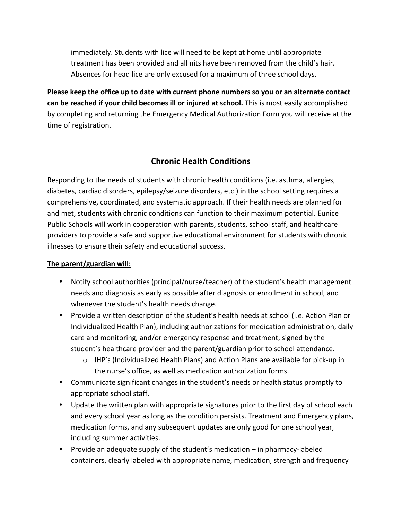immediately. Students with lice will need to be kept at home until appropriate treatment has been provided and all nits have been removed from the child's hair. Absences for head lice are only excused for a maximum of three school days.

**Please keep the office up to date with current phone numbers so you or an alternate contact can be reached if your child becomes ill or injured at school.** This is most easily accomplished by completing and returning the Emergency Medical Authorization Form you will receive at the time of registration.

# **Chronic Health Conditions**

Responding to the needs of students with chronic health conditions (i.e. asthma, allergies, diabetes, cardiac disorders, epilepsy/seizure disorders, etc.) in the school setting requires a comprehensive, coordinated, and systematic approach. If their health needs are planned for and met, students with chronic conditions can function to their maximum potential. Eunice Public Schools will work in cooperation with parents, students, school staff, and healthcare providers to provide a safe and supportive educational environment for students with chronic illnesses to ensure their safety and educational success.

### The parent/guardian will:

- Notify school authorities (principal/nurse/teacher) of the student's health management needs and diagnosis as early as possible after diagnosis or enrollment in school, and whenever the student's health needs change.
- Provide a written description of the student's health needs at school (i.e. Action Plan or Individualized Health Plan), including authorizations for medication administration, daily care and monitoring, and/or emergency response and treatment, signed by the student's healthcare provider and the parent/guardian prior to school attendance.
	- $\circ$  IHP's (Individualized Health Plans) and Action Plans are available for pick-up in the nurse's office, as well as medication authorization forms.
- Communicate significant changes in the student's needs or health status promptly to appropriate school staff.
- Update the written plan with appropriate signatures prior to the first day of school each and every school year as long as the condition persists. Treatment and Emergency plans, medication forms, and any subsequent updates are only good for one school year, including summer activities.
- Provide an adequate supply of the student's medication  $-$  in pharmacy-labeled containers, clearly labeled with appropriate name, medication, strength and frequency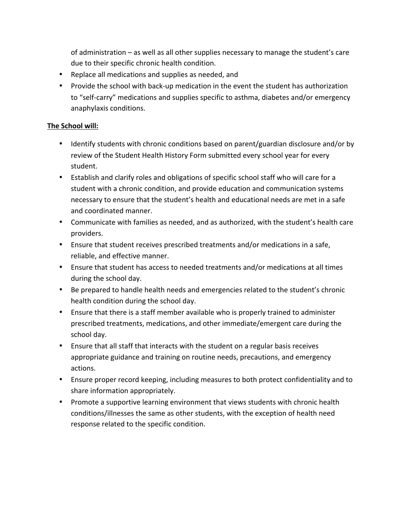of administration  $-$  as well as all other supplies necessary to manage the student's care due to their specific chronic health condition.

- Replace all medications and supplies as needed, and
- Provide the school with back-up medication in the event the student has authorization to "self-carry" medications and supplies specific to asthma, diabetes and/or emergency anaphylaxis conditions.

### **The School will:**

- Identify students with chronic conditions based on parent/guardian disclosure and/or by review of the Student Health History Form submitted every school year for every student.
- Establish and clarify roles and obligations of specific school staff who will care for a student with a chronic condition, and provide education and communication systems necessary to ensure that the student's health and educational needs are met in a safe and coordinated manner.
- Communicate with families as needed, and as authorized, with the student's health care providers.
- Ensure that student receives prescribed treatments and/or medications in a safe, reliable, and effective manner.
- Ensure that student has access to needed treatments and/or medications at all times during the school day.
- Be prepared to handle health needs and emergencies related to the student's chronic health condition during the school day.
- Ensure that there is a staff member available who is properly trained to administer prescribed treatments, medications, and other immediate/emergent care during the school day.
- Ensure that all staff that interacts with the student on a regular basis receives appropriate guidance and training on routine needs, precautions, and emergency actions.
- Ensure proper record keeping, including measures to both protect confidentiality and to share information appropriately.
- Promote a supportive learning environment that views students with chronic health conditions/illnesses the same as other students, with the exception of health need response related to the specific condition.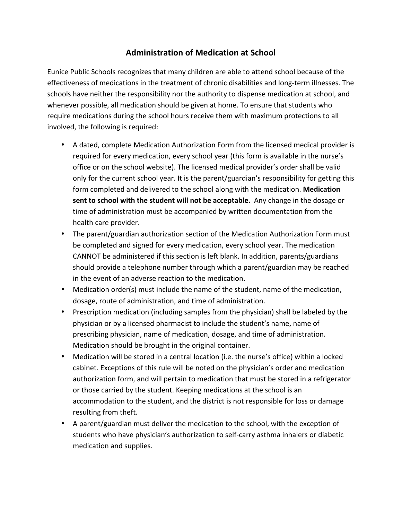## **Administration of Medication at School**

Eunice Public Schools recognizes that many children are able to attend school because of the effectiveness of medications in the treatment of chronic disabilities and long-term illnesses. The schools have neither the responsibility nor the authority to dispense medication at school, and whenever possible, all medication should be given at home. To ensure that students who require medications during the school hours receive them with maximum protections to all involved, the following is required:

- A dated, complete Medication Authorization Form from the licensed medical provider is required for every medication, every school year (this form is available in the nurse's office or on the school website). The licensed medical provider's order shall be valid only for the current school year. It is the parent/guardian's responsibility for getting this form completed and delivered to the school along with the medication. Medication **sent to school with the student will not be acceptable.** Any change in the dosage or time of administration must be accompanied by written documentation from the health care provider.
- The parent/guardian authorization section of the Medication Authorization Form must be completed and signed for every medication, every school year. The medication CANNOT be administered if this section is left blank. In addition, parents/guardians should provide a telephone number through which a parent/guardian may be reached in the event of an adverse reaction to the medication.
- Medication order(s) must include the name of the student, name of the medication, dosage, route of administration, and time of administration.
- Prescription medication (including samples from the physician) shall be labeled by the physician or by a licensed pharmacist to include the student's name, name of prescribing physician, name of medication, dosage, and time of administration. Medication should be brought in the original container.
- Medication will be stored in a central location (i.e. the nurse's office) within a locked cabinet. Exceptions of this rule will be noted on the physician's order and medication authorization form, and will pertain to medication that must be stored in a refrigerator or those carried by the student. Keeping medications at the school is an accommodation to the student, and the district is not responsible for loss or damage resulting from theft.
- A parent/guardian must deliver the medication to the school, with the exception of students who have physician's authorization to self-carry asthma inhalers or diabetic medication and supplies.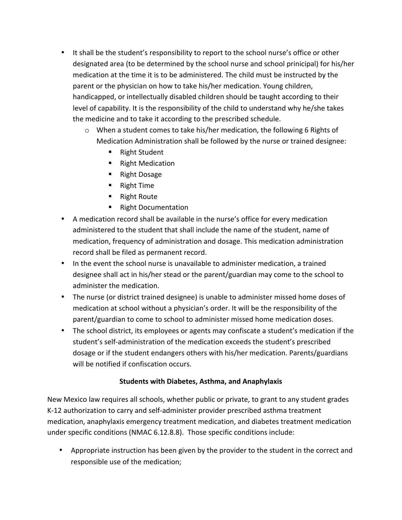- It shall be the student's responsibility to report to the school nurse's office or other designated area (to be determined by the school nurse and school prinicipal) for his/her medication at the time it is to be administered. The child must be instructed by the parent or the physician on how to take his/her medication. Young children, handicapped, or intellectually disabled children should be taught according to their level of capability. It is the responsibility of the child to understand why he/she takes the medicine and to take it according to the prescribed schedule.
	- $\circ$  When a student comes to take his/her medication, the following 6 Rights of Medication Administration shall be followed by the nurse or trained designee:
		- Right Student
		- Right Medication
		- Right Dosage
		- Right Time
		- Right Route
		- Right Documentation
- A medication record shall be available in the nurse's office for every medication administered to the student that shall include the name of the student, name of medication, frequency of administration and dosage. This medication administration record shall be filed as permanent record.
- In the event the school nurse is unavailable to administer medication, a trained designee shall act in his/her stead or the parent/guardian may come to the school to administer the medication.
- The nurse (or district trained designee) is unable to administer missed home doses of medication at school without a physician's order. It will be the responsibility of the parent/guardian to come to school to administer missed home medication doses.
- The school district, its employees or agents may confiscate a student's medication if the student's self-administration of the medication exceeds the student's prescribed dosage or if the student endangers others with his/her medication. Parents/guardians will be notified if confiscation occurs.

#### **Students with Diabetes, Asthma, and Anaphylaxis**

New Mexico law requires all schools, whether public or private, to grant to any student grades K-12 authorization to carry and self-administer provider prescribed asthma treatment medication, anaphylaxis emergency treatment medication, and diabetes treatment medication under specific conditions (NMAC 6.12.8.8). Those specific conditions include:

• Appropriate instruction has been given by the provider to the student in the correct and responsible use of the medication;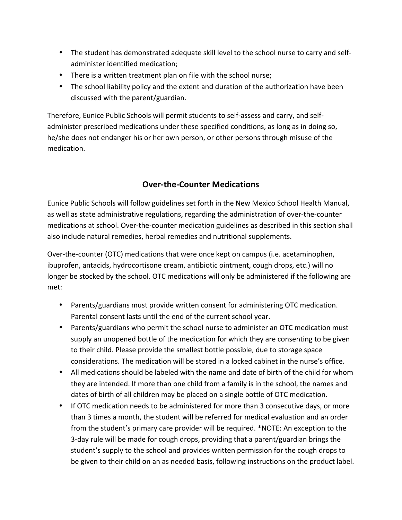- The student has demonstrated adequate skill level to the school nurse to carry and selfadminister identified medication;
- There is a written treatment plan on file with the school nurse;
- The school liability policy and the extent and duration of the authorization have been discussed with the parent/guardian.

Therefore, Eunice Public Schools will permit students to self-assess and carry, and selfadminister prescribed medications under these specified conditions, as long as in doing so, he/she does not endanger his or her own person, or other persons through misuse of the medication.

## **Over-the-Counter Medications**

Eunice Public Schools will follow guidelines set forth in the New Mexico School Health Manual, as well as state administrative regulations, regarding the administration of over-the-counter medications at school. Over-the-counter medication guidelines as described in this section shall also include natural remedies, herbal remedies and nutritional supplements.

Over-the-counter (OTC) medications that were once kept on campus (i.e. acetaminophen, ibuprofen, antacids, hydrocortisone cream, antibiotic ointment, cough drops, etc.) will no longer be stocked by the school. OTC medications will only be administered if the following are met:

- Parents/guardians must provide written consent for administering OTC medication. Parental consent lasts until the end of the current school year.
- Parents/guardians who permit the school nurse to administer an OTC medication must supply an unopened bottle of the medication for which they are consenting to be given to their child. Please provide the smallest bottle possible, due to storage space considerations. The medication will be stored in a locked cabinet in the nurse's office.
- All medications should be labeled with the name and date of birth of the child for whom they are intended. If more than one child from a family is in the school, the names and dates of birth of all children may be placed on a single bottle of OTC medication.
- If OTC medication needs to be administered for more than 3 consecutive days, or more than 3 times a month, the student will be referred for medical evaluation and an order from the student's primary care provider will be required. \*NOTE: An exception to the 3-day rule will be made for cough drops, providing that a parent/guardian brings the student's supply to the school and provides written permission for the cough drops to be given to their child on an as needed basis, following instructions on the product label.